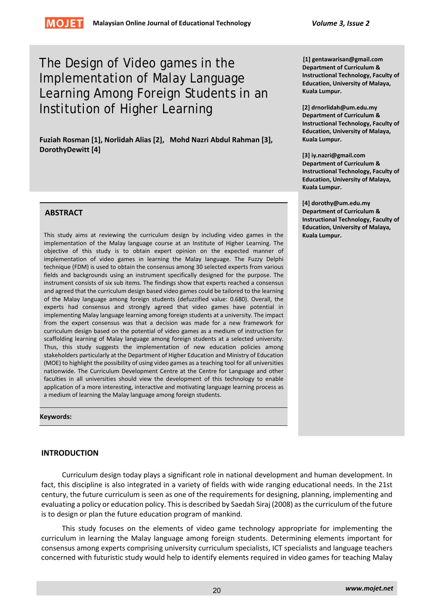# The Design of Video games in the Implementation of Malay Language Learning Among Foreign Students in an Institution of Higher Learning

**Fuziah Rosman [1], Norlidah Alias [2], Mohd Nazri Abdul Rahman [3], DorothyDewitt [4]**

# **ABSTRACT**

This study aims at reviewing the curriculum design by including video games in the implementation of the Malay language course at an Institute of Higher Learning. The objective of this study is to obtain expert opinion on the expected manner of implementation of video games in learning the Malay language. The Fuzzy Delphi technique (FDM) is used to obtain the consensus among 30 selected experts from various fields and backgrounds using an instrument specifically designed for the purpose. The instrument consists of six sub items. The findings show that experts reached a consensus and agreed that the curriculum design based video games could be tailored to the learning of the Malay language among foreign students (defuzzified value: 0.680). Overall, the experts had consensus and strongly agreed that video games have potential in implementing Malay language learning among foreign students at a university. The impact from the expert consensus was that a decision was made for a new framework for curriculum design based on the potential of video games as a medium of instruction for scaffolding learning of Malay language among foreign students at a selected university. Thus, this study suggests the implementation of new education policies among stakeholders particularly at the Department of Higher Education and Ministry of Education (MOE) to highlight the possibility of using video games as a teaching tool for all universities nationwide. The Curriculum Development Centre at the Centre for Language and other faculties in all universities should view the development of this technology to enable application of a more interesting, interactive and motivating language learning process as a medium of learning the Malay language among foreign students.

**Keywords:** 

# **INTRODUCTION**

Curriculum design today plays a significant role in national development and human development. In fact, this discipline is also integrated in a variety of fields with wide ranging educational needs. In the 21st century, the future curriculum is seen as one of the requirements for designing, planning, implementing and evaluating a policy or education policy. This is described by Saedah Siraj (2008) as the curriculum of the future is to design or plan the future education program of mankind.

This study focuses on the elements of video game technology appropriate for implementing the curriculum in learning the Malay language among foreign students. Determining elements important for consensus among experts comprising university curriculum specialists, ICT specialists and language teachers concerned with futuristic study would help to identify elements required in video games for teaching Malay

**[1] gentawarisan@gmail.com Department of Curriculum & Instructional Technology, Faculty of Education, University of Malaya, Kuala Lumpur.**

**[2] drnorlidah@um.edu.my Department of Curriculum & Instructional Technology, Faculty of Education, University of Malaya, Kuala Lumpur.**

**[3] iy.nazri@gmail.com Department of Curriculum & Instructional Technology, Faculty of Education, University of Malaya, Kuala Lumpur.**

**[4] dorothy@um.edu.my Department of Curriculum & Instructional Technology, Faculty of Education, University of Malaya, Kuala Lumpur.**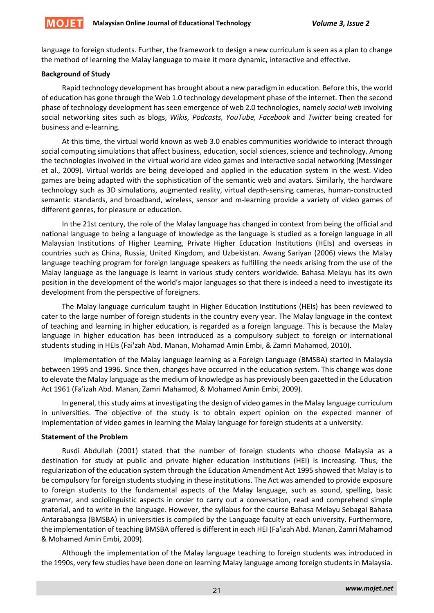language to foreign students. Further, the framework to design a new curriculum is seen as a plan to change the method of learning the Malay language to make it more dynamic, interactive and effective.

# **Background of Study**

Rapid technology development has brought about a new paradigm in education. Before this, the world of education has gone through the Web 1.0 technology development phase of the internet. Then the second phase of technology development has seen emergence of web 2.0 technologies, namely *social web* involving social networking sites such as blogs, *Wikis, Podcasts, YouTube, Facebook* and *Twitter* being created for business and e‐learning*.*

At this time, the virtual world known as web 3.0 enables communities worldwide to interact through social computing simulations that affect business, education, social sciences, science and technology. Among the technologies involved in the virtual world are video games and interactive social networking (Messinger et al., 2009). Virtual worlds are being developed and applied in the education system in the west. Video games are being adapted with the sophistication of the semantic web and avatars*.* Similarly, the hardware technology such as 3D simulations, augmented reality, virtual depth‐sensing cameras, human‐constructed semantic standards, and broadband, wireless, sensor and m‐learning provide a variety of video games of different genres, for pleasure or education.

In the 21st century, the role of the Malay language has changed in context from being the official and national language to being a language of knowledge as the language is studied as a foreign language in all Malaysian Institutions of Higher Learning, Private Higher Education Institutions (HEIs) and overseas in countries such as China, Russia, United Kingdom, and Uzbekistan. Awang Sariyan (2006) views the Malay language teaching program for foreign language speakers as fulfilling the needs arising from the use of the Malay language as the language is learnt in various study centers worldwide. Bahasa Melayu has its own position in the development of the world's major languages so that there is indeed a need to investigate its development from the perspective of foreigners.

The Malay language curriculum taught in Higher Education Institutions (HEIs) has been reviewed to cater to the large number of foreign students in the country every year. The Malay language in the context of teaching and learning in higher education, is regarded as a foreign language. This is because the Malay language in higher education has been introduced as a compulsory subject to foreign or international students studing in HEIs (Fai'zah Abd. Manan, Mohamad Amin Embi, & Zamri Mahamod, 2010).

Implementation of the Malay language learning as a Foreign Language (BMSBA) started in Malaysia between 1995 and 1996. Since then, changes have occurred in the education system. This change was done to elevate the Malay language as the medium of knowledge as has previously been gazetted in the Education Act 1961 (Fa'izah Abd. Manan, Zamri Mahamod, & Mohamed Amin Embi, 2009).

In general, this study aims at investigating the design of video games in the Malay language curriculum in universities. The objective of the study is to obtain expert opinion on the expected manner of implementation of video games in learning the Malay language for foreign students at a university.

## **Statement of the Problem**

Rusdi Abdullah (2001) stated that the number of foreign students who choose Malaysia as a destination for study at public and private higher education institutions (HEI) is increasing. Thus, the regularization of the education system through the Education Amendment Act 1995 showed that Malay is to be compulsory for foreign students studying in these institutions. The Act was amended to provide exposure to foreign students to the fundamental aspects of the Malay language, such as sound, spelling, basic grammar, and sociolinguistic aspects in order to carry out a conversation, read and comprehend simple material, and to write in the language. However, the syllabus for the course Bahasa Melayu Sebagai Bahasa Antarabangsa (BMSBA) in universities is compiled by the Language faculty at each university. Furthermore, the implementation of teaching BMSBA offered is different in each HEI (Fa'izah Abd. Manan, Zamri Mahamod & Mohamed Amin Embi, 2009).

Although the implementation of the Malay language teaching to foreign students was introduced in the 1990s, very few studies have been done on learning Malay language among foreign students in Malaysia.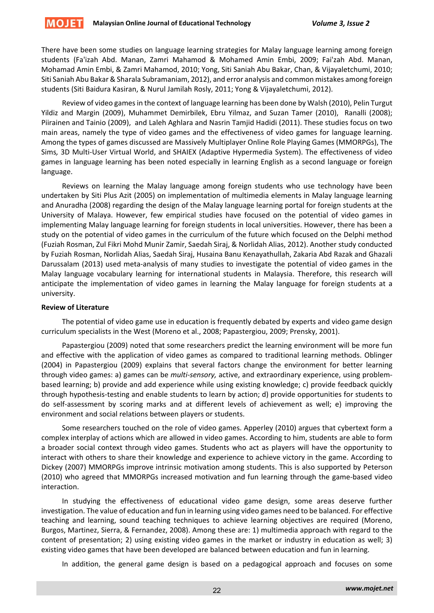

There have been some studies on language learning strategies for Malay language learning among foreign students (Fa'izah Abd. Manan, Zamri Mahamod & Mohamed Amin Embi, 2009; Fai'zah Abd. Manan, Mohamad Amin Embi, & Zamri Mahamod, 2010; Yong, Siti Saniah Abu Bakar, Chan, & Vijayaletchumi, 2010; Siti Saniah Abu Bakar& Sharala Subramaniam, 2012), and error analysis and common mistakes among foreign students (Siti Baidura Kasiran, & Nurul Jamilah Rosly, 2011; Yong & Vijayaletchumi, 2012).

Review of video games in the context of language learning has been done by Walsh (2010), Pelin Turgut Yildiz and Margin (2009), Muhammet Demirbilek, Ebru Yilmaz, and Suzan Tamer (2010), Ranalli (2008); Piirainen and Tainio (2009), and Laleh Aghlara and Nasrin Tamjid Hadidi (2011). These studies focus on two main areas, namely the type of video games and the effectiveness of video games for language learning. Among the types of games discussed are Massively Multiplayer Online Role Playing Games (MMORPGs), The Sims*,* 3D Multi‐User Virtual World, and SHAIEX (Adaptive Hypermedia System). The effectiveness of video games in language learning has been noted especially in learning English as a second language or foreign language.

Reviews on learning the Malay language among foreign students who use technology have been undertaken by Siti Plus Azit (2005) on implementation of multimedia elements in Malay language learning and Anuradha (2008) regarding the design of the Malay language learning portal for foreign students at the University of Malaya. However, few empirical studies have focused on the potential of video games in implementing Malay language learning for foreign students in local universities. However, there has been a study on the potential of video games in the curriculum of the future which focused on the Delphi method (Fuziah Rosman, Zul Fikri Mohd Munir Zamir, Saedah Siraj, & Norlidah Alias, 2012). Another study conducted by Fuziah Rosman, Norlidah Alias, Saedah Siraj, Husaina Banu Kenayathullah, Zakaria Abd Razak and Ghazali Darussalam (2013) used meta‐analysis of many studies to investigate the potential of video games in the Malay language vocabulary learning for international students in Malaysia. Therefore, this research will anticipate the implementation of video games in learning the Malay language for foreign students at a university.

#### **Review of Literature**

The potential of video game use in education is frequently debated by experts and video game design curriculum specialists in the West (Moreno et al., 2008; Papastergiou, 2009; Prensky, 2001).

Papastergiou (2009) noted that some researchers predict the learning environment will be more fun and effective with the application of video games as compared to traditional learning methods. Oblinger (2004) in Papastergiou (2009) explains that several factors change the environment for better learning through video games: a) games can be *multi‐sensory,* active, and extraordinary experience, using problem‐ based learning; b) provide and add experience while using existing knowledge; c) provide feedback quickly through hypothesis‐testing and enable students to learn by action; d) provide opportunities for students to do self‐assessment by scoring marks and at different levels of achievement as well; e) improving the environment and social relations between players or students.

Some researchers touched on the role of video games. Apperley (2010) argues that cybertext form a complex interplay of actions which are allowed in video games. According to him, students are able to form a broader social context through video games. Students who act as players will have the opportunity to interact with others to share their knowledge and experience to achieve victory in the game. According to Dickey (2007) MMORPGs improve intrinsic motivation among students. This is also supported by Peterson (2010) who agreed that MMORPGs increased motivation and fun learning through the game‐based video interaction.

In studying the effectiveness of educational video game design, some areas deserve further investigation. The value of education and fun in learning using video games need to be balanced. For effective teaching and learning, sound teaching techniques to achieve learning objectives are required (Moreno, Burgos, Martinez, Sierra, & Fernandez, 2008). Among these are: 1) multimedia approach with regard to the content of presentation; 2) using existing video games in the market or industry in education as well; 3) existing video games that have been developed are balanced between education and fun in learning.

In addition, the general game design is based on a pedagogical approach and focuses on some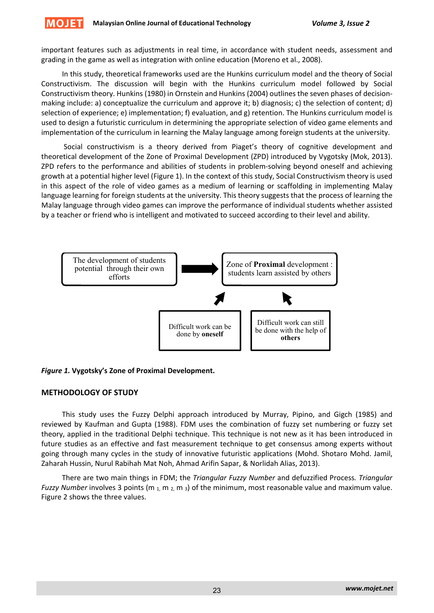important features such as adjustments in real time, in accordance with student needs, assessment and grading in the game as well as integration with online education (Moreno et al., 2008).

In this study, theoretical frameworks used are the Hunkins curriculum model and the theory of Social Constructivism. The discussion will begin with the Hunkins curriculum model followed by Social Constructivism theory. Hunkins (1980) in Ornstein and Hunkins (2004) outlines the seven phases of decision‐ making include: a) conceptualize the curriculum and approve it; b) diagnosis; c) the selection of content; d) selection of experience; e) implementation; f) evaluation, and g) retention. The Hunkins curriculum model is used to design a futuristic curriculum in determining the appropriate selection of video game elements and implementation of the curriculum in learning the Malay language among foreign students at the university.

Social constructivism is a theory derived from Piaget's theory of cognitive development and theoretical development of the Zone of Proximal Development (ZPD) introduced by Vygotsky (Mok, 2013). ZPD refers to the performance and abilities of students in problem‐solving beyond oneself and achieving growth at a potential higher level (Figure 1). In the context of this study, Social Constructivism theory is used in this aspect of the role of video games as a medium of learning or scaffolding in implementing Malay language learning for foreign students at the university. This theory suggests that the process of learning the Malay language through video games can improve the performance of individual students whether assisted by a teacher or friend who is intelligent and motivated to succeed according to their level and ability.



## *Figure 1.* **Vygotsky's Zone of Proximal Development.**

## **METHODOLOGY OF STUDY**

This study uses the Fuzzy Delphi approach introduced by Murray, Pipino, and Gigch (1985) and reviewed by Kaufman and Gupta (1988). FDM uses the combination of fuzzy set numbering or fuzzy set theory, applied in the traditional Delphi technique. This technique is not new as it has been introduced in future studies as an effective and fast measurement technique to get consensus among experts without going through many cycles in the study of innovative futuristic applications (Mohd. Shotaro Mohd. Jamil, Zaharah Hussin, Nurul Rabihah Mat Noh, Ahmad Arifin Sapar, & Norlidah Alias, 2013).

There are two main things in FDM; the *Triangular Fuzzy Number* and defuzzified Process*. Triangular Fuzzy Number* involves 3 points (m <sub>1</sub>, m <sub>2</sub>, m <sub>3</sub>) of the minimum, most reasonable value and maximum value. Figure 2 shows the three values.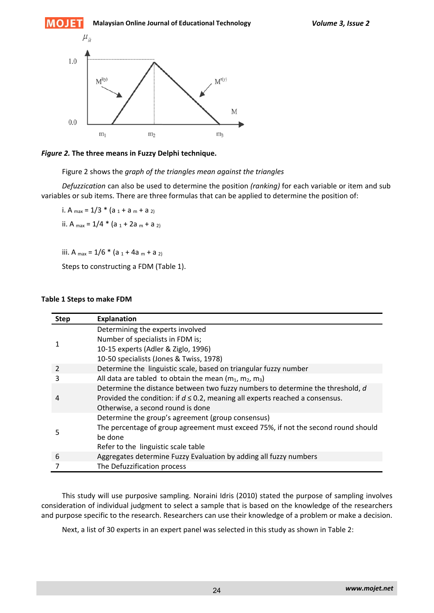

*Figure 2.* **The three means in Fuzzy Delphi technique.**

Figure 2 shows the *graph of the triangles mean against the triangles*

*Defuzzication* can also be used to determine the position *(ranking)* for each variable or item and sub variables or sub items. There are three formulas that can be applied to determine the position of:

i. A  $_{max}$  = 1/3  $*$  (a  $_1$  + a  $_m$  + a  $_{2}$ ) ii. A  $_{max}$  = 1/4  $*$  (a  $_1$  + 2a  $_m$  + a  $_2$ )

iii. A  $_{max}$  = 1/6  $*$  (a  $_1$  + 4a  $_m$  + a  $_{2}$ )

Steps to constructing a FDM (Table 1).

#### **Table 1 Steps to make FDM**

| <b>Step</b> | <b>Explanation</b>                                                                                                                                                                                       |
|-------------|----------------------------------------------------------------------------------------------------------------------------------------------------------------------------------------------------------|
|             | Determining the experts involved<br>Number of specialists in FDM is;                                                                                                                                     |
|             | 10-15 experts (Adler & Ziglo, 1996)<br>10-50 specialists (Jones & Twiss, 1978)                                                                                                                           |
|             | Determine the linguistic scale, based on triangular fuzzy number                                                                                                                                         |
|             | All data are tabled to obtain the mean $(m_1, m_2, m_3)$                                                                                                                                                 |
| 4           | Determine the distance between two fuzzy numbers to determine the threshold, d<br>Provided the condition: if $d \le 0.2$ , meaning all experts reached a consensus.<br>Otherwise, a second round is done |
|             | Determine the group's agreement (group consensus)                                                                                                                                                        |
|             | The percentage of group agreement must exceed 75%, if not the second round should<br>be done                                                                                                             |
|             | Refer to the linguistic scale table                                                                                                                                                                      |
| 6           | Aggregates determine Fuzzy Evaluation by adding all fuzzy numbers                                                                                                                                        |
| 7           | The Defuzzification process                                                                                                                                                                              |

This study will use purposive sampling*.* Noraini Idris (2010) stated the purpose of sampling involves consideration of individual judgment to select a sample that is based on the knowledge of the researchers and purpose specific to the research. Researchers can use their knowledge of a problem or make a decision.

Next, a list of 30 experts in an expert panel was selected in this study as shown in Table 2: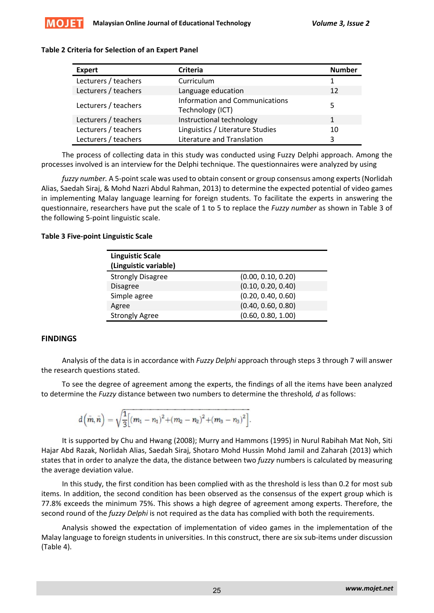

#### **Table 2 Criteria for Selection of an Expert Panel**

| <b>Expert</b>        | <b>Criteria</b>                                           | <b>Number</b> |
|----------------------|-----------------------------------------------------------|---------------|
| Lecturers / teachers | Curriculum                                                |               |
| Lecturers / teachers | Language education                                        | 12            |
| Lecturers / teachers | <b>Information and Communications</b><br>Technology (ICT) | 5             |
| Lecturers / teachers | Instructional technology                                  | 1             |
| Lecturers / teachers | Linguistics / Literature Studies                          | 10            |
| Lecturers / teachers | Literature and Translation                                |               |

The process of collecting data in this study was conducted using Fuzzy Delphi approach. Among the processes involved is an interview for the Delphi technique. The questionnaires were analyzed by using

fuzzy number. A 5-point scale was used to obtain consent or group consensus among experts (Norlidah Alias, Saedah Siraj, & Mohd Nazri Abdul Rahman, 2013) to determine the expected potential of video games in implementing Malay language learning for foreign students. To facilitate the experts in answering the questionnaire, researchers have put the scale of 1 to 5 to replace the *Fuzzy number* as shown in Table 3 of the following 5‐point linguistic scale.

#### **Table 3 Five‐point Linguistic Scale**

| <b>Linguistic Scale</b><br>(Linguistic variable) |                    |
|--------------------------------------------------|--------------------|
| <b>Strongly Disagree</b>                         | (0.00, 0.10, 0.20) |
| <b>Disagree</b>                                  | (0.10, 0.20, 0.40) |
| Simple agree                                     | (0.20, 0.40, 0.60) |
| Agree                                            | (0.40, 0.60, 0.80) |
| <b>Strongly Agree</b>                            | (0.60, 0.80, 1.00) |

## **FINDINGS**

Analysis of the data is in accordance with *Fuzzy Delphi* approach through steps 3 through 7 will answer the research questions stated.

To see the degree of agreement among the experts, the findings of all the items have been analyzed to determine the *Fuzzy* distance between two numbers to determine the threshold*, d* as follows:

$$
d\left(\tilde{m}, \tilde{n}\right)=\sqrt{\frac{1}{3}\Big[\left(m_1-n_1\right)^2+\left(m_2-n_2\right)^2+\left(m_3-n_3\right)^2\Big]}.
$$

It is supported by Chu and Hwang (2008); Murry and Hammons (1995) in Nurul Rabihah Mat Noh, Siti Hajar Abd Razak, Norlidah Alias, Saedah Siraj, Shotaro Mohd Hussin Mohd Jamil and Zaharah (2013) which states that in order to analyze the data, the distance between two *fuzzy* numbers is calculated by measuring the average deviation value.

In this study, the first condition has been complied with as the threshold is less than 0.2 for most sub items. In addition, the second condition has been observed as the consensus of the expert group which is 77.8% exceeds the minimum 75%. This shows a high degree of agreement among experts. Therefore, the second round of the *fuzzy Delphi* is not required as the data has complied with both the requirements.

Analysis showed the expectation of implementation of video games in the implementation of the Malay language to foreign students in universities. In this construct, there are six sub‐items under discussion (Table 4).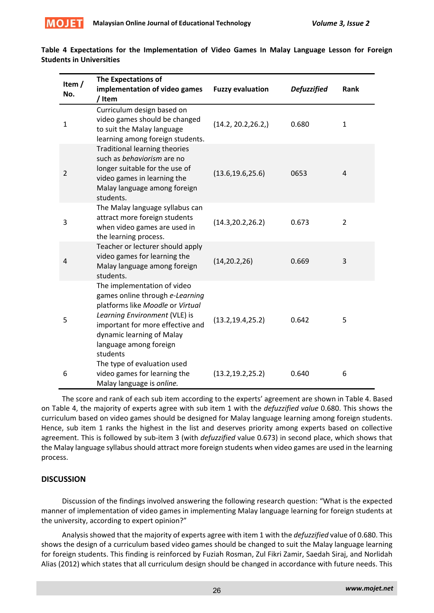

| Item $/$<br>No. | <b>The Expectations of</b><br>implementation of video games<br>/ Item                                                                                                                                                                      | <b>Fuzzy evaluation</b> | <b>Defuzzified</b> | Rank           |
|-----------------|--------------------------------------------------------------------------------------------------------------------------------------------------------------------------------------------------------------------------------------------|-------------------------|--------------------|----------------|
| $\mathbf{1}$    | Curriculum design based on<br>video games should be changed<br>to suit the Malay language<br>learning among foreign students.                                                                                                              | (14.2, 20.2, 26.2, )    | 0.680              | $\mathbf{1}$   |
| 2               | <b>Traditional learning theories</b><br>such as behaviorism are no<br>longer suitable for the use of<br>video games in learning the<br>Malay language among foreign<br>students.                                                           | (13.6, 19.6, 25.6)      | 0653               | $\overline{4}$ |
| 3               | The Malay language syllabus can<br>attract more foreign students<br>when video games are used in<br>the learning process.                                                                                                                  | (14.3, 20.2, 26.2)      | 0.673              | $\overline{2}$ |
| 4               | Teacher or lecturer should apply<br>video games for learning the<br>Malay language among foreign<br>students.                                                                                                                              | (14, 20.2, 26)          | 0.669              | 3              |
| 5               | The implementation of video<br>games online through e-Learning<br>platforms like Moodle or Virtual<br>Learning Environment (VLE) is<br>important for more effective and<br>dynamic learning of Malay<br>language among foreign<br>students | (13.2, 19.4, 25.2)      | 0.642              | 5              |
| 6               | The type of evaluation used<br>video games for learning the<br>Malay language is online.                                                                                                                                                   | (13.2, 19.2, 25.2)      | 0.640              | 6              |

**Table 4 Expectations for the Implementation of Video Games In Malay Language Lesson for Foreign Students in Universities** 

The score and rank of each sub item according to the experts' agreement are shown in Table 4. Based on Table 4, the majority of experts agree with sub item 1 with the *defuzzified value* 0.680. This shows the curriculum based on video games should be designed for Malay language learning among foreign students. Hence, sub item 1 ranks the highest in the list and deserves priority among experts based on collective agreement. This is followed by sub‐item 3 (with *defuzzified* value 0.673) in second place, which shows that the Malay language syllabus should attract more foreign students when video games are used in the learning process.

# **DISCUSSION**

Discussion of the findings involved answering the following research question: "What is the expected manner of implementation of video games in implementing Malay language learning for foreign students at the university, according to expert opinion?"

Analysisshowed that the majority of experts agree with item 1 with the *defuzzified* value of 0.680. This shows the design of a curriculum based video games should be changed to suit the Malay language learning for foreign students. This finding is reinforced by Fuziah Rosman, Zul Fikri Zamir, Saedah Siraj, and Norlidah Alias (2012) which states that all curriculum design should be changed in accordance with future needs. This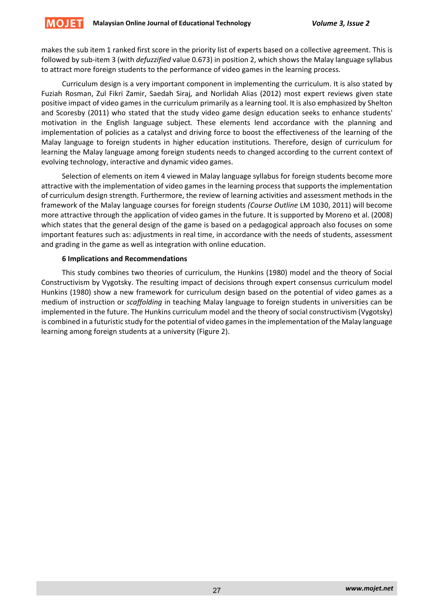makes the sub item 1 ranked first score in the priority list of experts based on a collective agreement. This is followed by sub‐item 3 (with *defuzzified* value 0.673) in position 2, which shows the Malay language syllabus to attract more foreign students to the performance of video games in the learning process.

Curriculum design is a very important component in implementing the curriculum. It is also stated by Fuziah Rosman, Zul Fikri Zamir, Saedah Siraj, and Norlidah Alias (2012) most expert reviews given state positive impact of video games in the curriculum primarily as a learning tool. It is also emphasized by Shelton and Scoresby (2011) who stated that the study video game design education seeks to enhance students' motivation in the English language subject*.* These elements lend accordance with the planning and implementation of policies as a catalyst and driving force to boost the effectiveness of the learning of the Malay language to foreign students in higher education institutions. Therefore, design of curriculum for learning the Malay language among foreign students needs to changed according to the current context of evolving technology, interactive and dynamic video games.

Selection of elements on item 4 viewed in Malay language syllabus for foreign students become more attractive with the implementation of video games in the learning process that supports the implementation of curriculum design strength. Furthermore, the review of learning activities and assessment methods in the framework of the Malay language courses for foreign students *(Course Outline* LM 1030, 2011) will become more attractive through the application of video games in the future. It is supported by Moreno et al. (2008) which states that the general design of the game is based on a pedagogical approach also focuses on some important features such as: adjustments in real time, in accordance with the needs of students, assessment and grading in the game as well as integration with online education.

## **6 Implications and Recommendations**

This study combines two theories of curriculum, the Hunkins (1980) model and the theory of Social Constructivism by Vygotsky. The resulting impact of decisions through expert consensus curriculum model Hunkins (1980) show a new framework for curriculum design based on the potential of video games as a medium of instruction or *scaffolding* in teaching Malay language to foreign students in universities can be implemented in the future. The Hunkins curriculum model and the theory of social constructivism (Vygotsky) is combined in a futuristic study for the potential of video games in the implementation of the Malay language learning among foreign students at a university (Figure 2).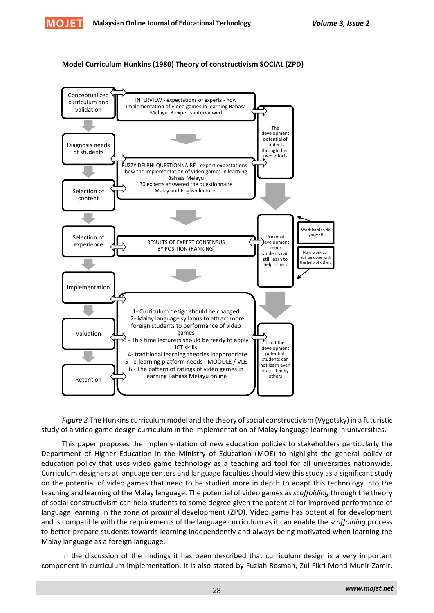

## **Model Curriculum Hunkins (1980) Theory of constructivism SOCIAL (ZPD)**



Figure 2 The Hunkins curriculum model and the theory of social constructivism (Vygotsky) in a futuristic study of a video game design curriculum in the implementation of Malay language learning in universities.

This paper proposes the implementation of new education policies to stakeholders particularly the Department of Higher Education in the Ministry of Education (MOE) to highlight the general policy or education policy that uses video game technology as a teaching aid tool for all universities nationwide. Curriculum designers at language centers and language faculties should view this study as a significant study on the potential of video games that need to be studied more in depth to adapt this technology into the teaching and learning of the Malay language. The potential of video games as *scaffolding* through the theory of social constructivism can help students to some degree given the potential for improved performance of language learning in the zone of proximal development (ZPD). Video game has potential for development and is compatible with the requirements of the language curriculum as it can enable the *scaffolding* process to better prepare students towards learning independently and always being motivated when learning the Malay language as a foreign language.

In the discussion of the findings it has been described that curriculum design is a very important component in curriculum implementation. It is also stated by Fuziah Rosman, Zul Fikri Mohd Munir Zamir,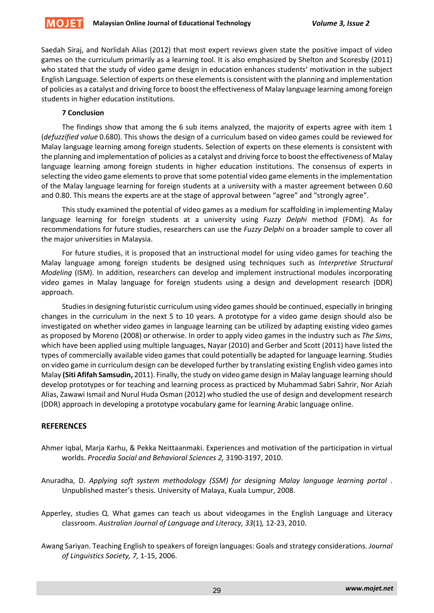

Saedah Siraj, and Norlidah Alias (2012) that most expert reviews given state the positive impact of video games on the curriculum primarily as a learning tool. It is also emphasized by Shelton and Scoresby (2011) who stated that the study of video game design in education enhances students' motivation in the subject English Language*.* Selection of experts on these elementsis consistent with the planning and implementation of policies as a catalyst and driving force to boost the effectiveness of Malay language learning among foreign students in higher education institutions.

# **7 Conclusion**

The findings show that among the 6 sub items analyzed, the majority of experts agree with item 1 (*defuzzified value* 0.680). This shows the design of a curriculum based on video games could be reviewed for Malay language learning among foreign students. Selection of experts on these elements is consistent with the planning and implementation of policies as a catalyst and driving force to boost the effectiveness of Malay language learning among foreign students in higher education institutions. The consensus of experts in selecting the video game elements to prove that some potential video game elements in the implementation of the Malay language learning for foreign students at a university with a master agreement between 0.60 and 0.80. This means the experts are at the stage of approval between "agree" and "strongly agree".

This study examined the potential of video games as a medium for scaffolding in implementing Malay language learning for foreign students at a university using *Fuzzy Delphi* method (FDM). As for recommendations for future studies, researchers can use the *Fuzzy Delphi* on a broader sample to cover all the major universities in Malaysia.

For future studies, it is proposed that an instructional model for using video games for teaching the Malay language among foreign students be designed using techniques such as *Interpretive Structural Modeling* (ISM). In addition, researchers can develop and implement instructional modules incorporating video games in Malay language for foreign students using a design and development research (DDR) approach.

Studies in designing futuristic curriculum using video games should be continued, especially in bringing changes in the curriculum in the next 5 to 10 years. A prototype for a video game design should also be investigated on whether video games in language learning can be utilized by adapting existing video games as proposed by Moreno (2008) or otherwise. In order to apply video games in the industry such as *The Sims*, which have been applied using multiple languages, Nayar (2010) and Gerber and Scott (2011) have listed the types of commercially available video games that could potentially be adapted for language learning. Studies on video game in curriculum design can be developed further by translating existing English video gamesinto Malay **(Siti Afifah Samsudin,** 2011). Finally, the study on video game design in Malay language learning should develop prototypes or for teaching and learning process as practiced by Muhammad Sabri Sahrir, Nor Aziah Alias, Zawawi Ismail and Nurul Huda Osman (2012) who studied the use of design and development research (DDR) approach in developing a prototype vocabulary game for learning Arabic language online.

# **REFERENCES**

- Ahmer Iqbal, Marja Karhu, & Pekka Neittaanmaki. Experiences and motivation of the participation in virtual worlds. *Procedia Social and Behavioral Sciences 2,* 3190‐3197, 2010.
- Anuradha, D. *Applying soft system methodology (SSM) for designing Malay language learning portal* . Unpublished master's thesis. University of Malaya, Kuala Lumpur, 2008.
- Apperley, studies Q. What games can teach us about videogames in the English Language and Literacy classroom. *Australian Journal of Language and Literacy, 33*(1)*,* 12‐23, 2010.
- Awang Sariyan. Teaching English to speakers of foreign languages: Goals and strategy considerations. *Journal of Linguistics Society, 7,* 1‐15, 2006.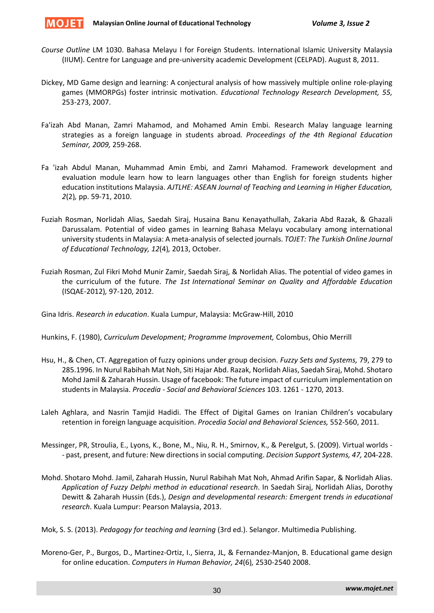

- *Course Outline* LM 1030. Bahasa Melayu I for Foreign Students. International Islamic University Malaysia (IIUM). Centre for Language and pre‐university academic Development (CELPAD). August 8, 2011.
- Dickey, MD Game design and learning: A conjectural analysis of how massively multiple online role‐playing games (MMORPGs) foster intrinsic motivation. *Educational Technology Research Development, 55,* 253‐273, 2007.
- Fa'izah Abd Manan, Zamri Mahamod, and Mohamed Amin Embi. Research Malay language learning strategies as a foreign language in students abroad*. Proceedings of the 4th Regional Education Seminar, 2009,* 259‐268.
- Fa 'izah Abdul Manan, Muhammad Amin Embi, and Zamri Mahamod. Framework development and evaluation module learn how to learn languages other than English for foreign students higher education institutions Malaysia. *AJTLHE: ASEAN Journal of Teaching and Learning in Higher Education, 2*(2)*,* pp. 59‐71, 2010.
- Fuziah Rosman, Norlidah Alias, Saedah Siraj, Husaina Banu Kenayathullah, Zakaria Abd Razak, & Ghazali Darussalam. Potential of video games in learning Bahasa Melayu vocabulary among international university students in Malaysia: A meta‐analysis ofselected journals. *TOJET: The Turkish Online Journal of Educational Technology, 12*(4)*,* 2013, October.
- Fuziah Rosman, Zul Fikri Mohd Munir Zamir, Saedah Siraj, & Norlidah Alias. The potential of video games in the curriculum of the future. *The 1st International Seminar on Quality and Affordable Education* (ISQAE‐2012)*,* 97‐120, 2012.

Gina Idris. *Research in education*. Kuala Lumpur, Malaysia: McGraw‐Hill, 2010

Hunkins, F. (1980), *Curriculum Development; Programme Improvement,* Colombus, Ohio Merrill

- Hsu, H., & Chen, CT. Aggregation of fuzzy opinions under group decision. *Fuzzy Sets and Systems,* 79, 279 to 285.1996. In Nurul Rabihah Mat Noh, Siti Hajar Abd. Razak, Norlidah Alias, Saedah Siraj, Mohd. Shotaro Mohd Jamil & Zaharah Hussin. Usage of facebook: The future impact of curriculum implementation on students in Malaysia. *Procedia ‐ Social and Behavioral Sciences* 103. 1261 ‐ 1270, 2013.
- Laleh Aghlara, and Nasrin Tamjid Hadidi. The Effect of Digital Games on Iranian Children's vocabulary retention in foreign language acquisition. *Procedia Social and Behavioral Sciences,* 552‐560, 2011.
- Messinger, PR, Stroulia, E., Lyons, K., Bone, M., Niu, R. H., Smirnov, K., & Perelgut, S. (2009). Virtual worlds ‐ ‐ past, present, and future: New directionsin social computing. *Decision Support Systems, 47,* 204‐228.
- Mohd. Shotaro Mohd. Jamil, Zaharah Hussin, Nurul Rabihah Mat Noh, Ahmad Arifin Sapar, & Norlidah Alias. *Application of Fuzzy Delphi method in educational research*. In Saedah Siraj, Norlidah Alias, Dorothy Dewitt & Zaharah Hussin (Eds.), *Design and developmental research: Emergent trends in educational research*. Kuala Lumpur: Pearson Malaysia, 2013.

Mok, S. S. (2013). *Pedagogy for teaching and learning* (3rd ed.). Selangor. Multimedia Publishing.

Moreno‐Ger, P., Burgos, D., Martinez‐Ortiz, I., Sierra, JL, & Fernandez‐Manjon, B. Educational game design for online education. *Computers in Human Behavior, 24*(6)*,* 2530‐2540 2008.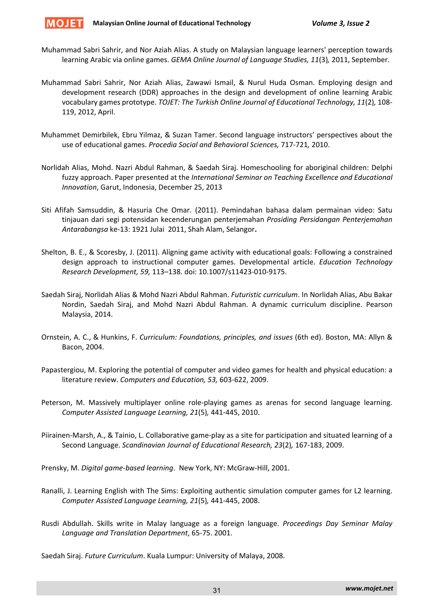

- Muhammad Sabri Sahrir, and Nor Aziah Alias. A study on Malaysian language learners' perception towards learning Arabic via online games. *GEMA Online Journal of Language Studies, 11*(3)*,* 2011, September.
- Muhammad Sabri Sahrir, Nor Aziah Alias, Zawawi Ismail, & Nurul Huda Osman. Employing design and development research (DDR) approaches in the design and development of online learning Arabic vocabulary games prototype. *TOJET: The Turkish Online Journal of Educational Technology, 11*(2)*,* 108‐ 119, 2012, April.
- Muhammet Demirbilek, Ebru Yilmaz, & Suzan Tamer. Second language instructors' perspectives about the use of educational games. *Procedia Social and Behavioral Sciences,* 717‐721*,* 2010.
- Norlidah Alias, Mohd. Nazri Abdul Rahman, & Saedah Siraj. Homeschooling for aboriginal children: Delphi fuzzy approach. Paper presented at the *International Seminar on Teaching Excellence and Educational Innovation*, Garut, Indonesia, December 25, 2013
- Siti Afifah Samsuddin, & Hasuria Che Omar. (2011). Pemindahan bahasa dalam permainan video: Satu tinjauan dari segi potensidan kecenderungan penterjemahan *Prosiding Persidangan Penterjemahan Antarabangsa* ke‐13: 1921 Julai 2011, Shah Alam, Selangor**.**
- Shelton, B. E., & Scoresby, J. (2011). Aligning game activity with educational goals: Following a constrained design approach to instructional computer games. Developmental article. *Education Technology Research Development, 59,* 113–138. doi: 10.1007/s11423‐010‐9175.
- Saedah Siraj, Norlidah Alias & Mohd Nazri Abdul Rahman. *Futuristic curriculum*. In Norlidah Alias, Abu Bakar Nordin, Saedah Siraj, and Mohd Nazri Abdul Rahman. A dynamic curriculum discipline. Pearson Malaysia, 2014.
- Ornstein, A. C., & Hunkins, F. *Curriculum: Foundations, principles, and issues* (6th ed). Boston, MA: Allyn & Bacon, 2004.
- Papastergiou, M. Exploring the potential of computer and video games for health and physical education: a literature review. *Computers and Education, 53,* 603‐622, 2009.
- Peterson, M. Massively multiplayer online role‐playing games as arenas for second language learning. *Computer Assisted Language Learning, 21*(5)*,* 441‐445, 2010.
- Piirainen‐Marsh, A., & Tainio, L. Collaborative game‐play as a site for participation and situated learning of a Second Language. *Scandinavian Journal of Educational Research, 23*(2)*,* 167‐183, 2009.
- Prensky, M. *Digital game‐based learning*. New York, NY: McGraw‐Hill, 2001.
- Ranalli, J. Learning English with The Sims: Exploiting authentic simulation computer games for L2 learning. *Computer Assisted Language Learning, 21*(5)*,* 441‐445, 2008.
- Rusdi Abdullah. Skills write in Malay language as a foreign language. *Proceedings Day Seminar Malay Language and Translation Department*, 65‐75. 2001.

Saedah Siraj. *Future Curriculum*. Kuala Lumpur: University of Malaya, 2008.